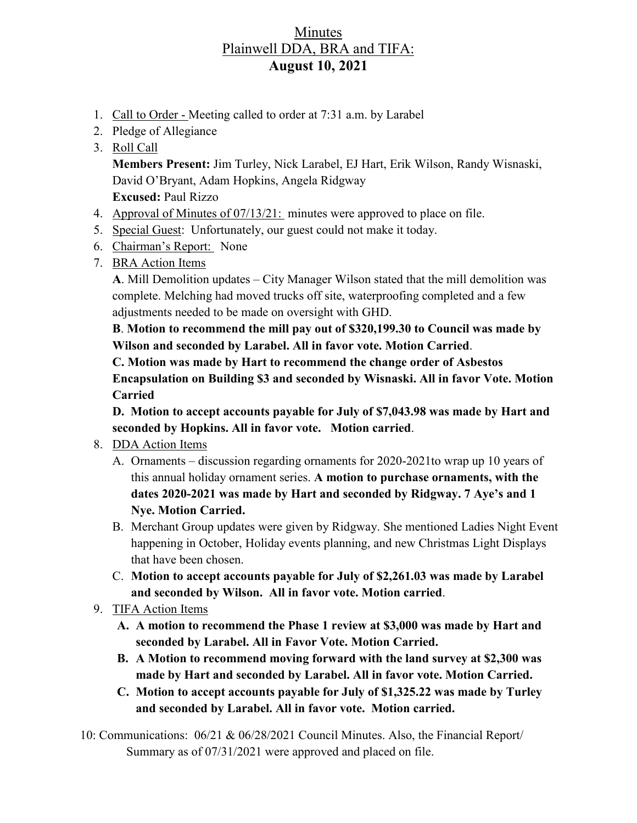## Minutes Plainwell DDA, BRA and TIFA: **August 10, 2021**

- 1. Call to Order Meeting called to order at 7:31 a.m. by Larabel
- 2. Pledge of Allegiance
- 3. Roll Call

**Members Present:** Jim Turley, Nick Larabel, EJ Hart, Erik Wilson, Randy Wisnaski, David O'Bryant, Adam Hopkins, Angela Ridgway **Excused:** Paul Rizzo

- 4. Approval of Minutes of 07/13/21: minutes were approved to place on file.
- 5. Special Guest: Unfortunately, our guest could not make it today.
- 6. Chairman's Report: None
- 7. BRA Action Items

**A**. Mill Demolition updates – City Manager Wilson stated that the mill demolition was complete. Melching had moved trucks off site, waterproofing completed and a few adjustments needed to be made on oversight with GHD.

**B**. **Motion to recommend the mill pay out of \$320,199.30 to Council was made by Wilson and seconded by Larabel. All in favor vote. Motion Carried**.

**C. Motion was made by Hart to recommend the change order of Asbestos Encapsulation on Building \$3 and seconded by Wisnaski. All in favor Vote. Motion Carried**

**D. Motion to accept accounts payable for July of \$7,043.98 was made by Hart and seconded by Hopkins. All in favor vote. Motion carried**.

## 8. DDA Action Items

- A. Ornaments discussion regarding ornaments for 2020-2021to wrap up 10 years of this annual holiday ornament series. **A motion to purchase ornaments, with the dates 2020-2021 was made by Hart and seconded by Ridgway. 7 Aye's and 1 Nye. Motion Carried.**
- B. Merchant Group updates were given by Ridgway. She mentioned Ladies Night Event happening in October, Holiday events planning, and new Christmas Light Displays that have been chosen.
- C. **Motion to accept accounts payable for July of \$2,261.03 was made by Larabel and seconded by Wilson. All in favor vote. Motion carried**.
- 9. TIFA Action Items
	- **A. A motion to recommend the Phase 1 review at \$3,000 was made by Hart and seconded by Larabel. All in Favor Vote. Motion Carried.**
	- **B. A Motion to recommend moving forward with the land survey at \$2,300 was made by Hart and seconded by Larabel. All in favor vote. Motion Carried.**
	- **C. Motion to accept accounts payable for July of \$1,325.22 was made by Turley and seconded by Larabel. All in favor vote. Motion carried.**

10: Communications: 06/21 & 06/28/2021 Council Minutes. Also, the Financial Report/ Summary as of 07/31/2021 were approved and placed on file.